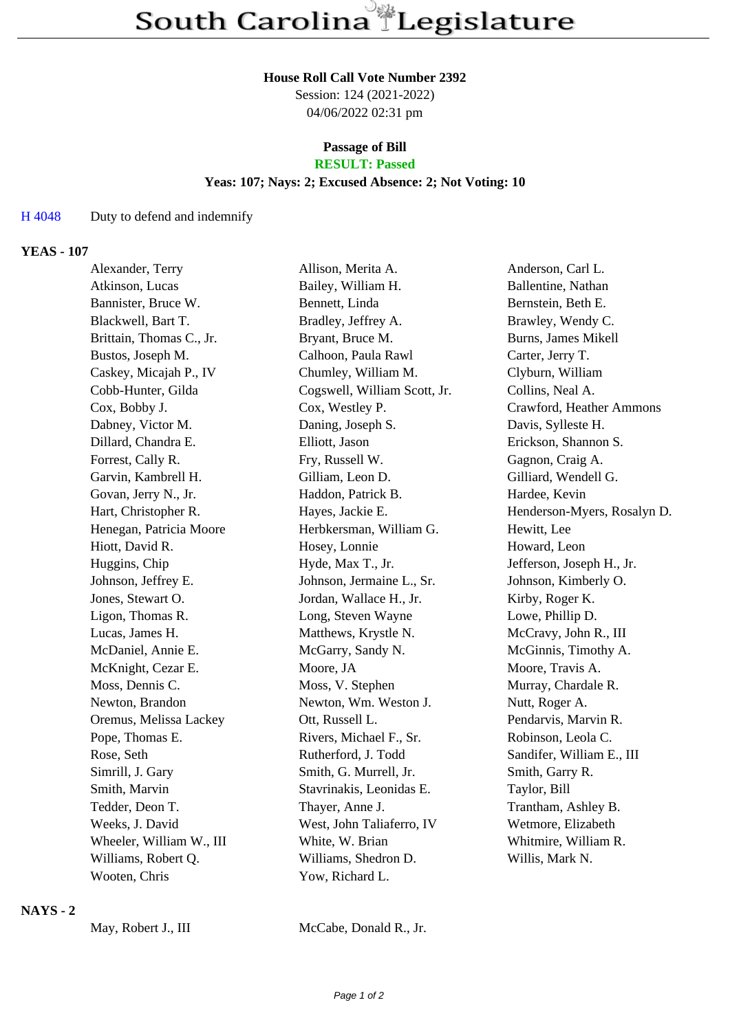#### **House Roll Call Vote Number 2392**

Session: 124 (2021-2022) 04/06/2022 02:31 pm

#### **Passage of Bill RESULT: Passed**

#### **Yeas: 107; Nays: 2; Excused Absence: 2; Not Voting: 10**

## H 4048 Duty to defend and indemnify

### **YEAS - 107**

| Alexander, Terry         | Allison, Merita A.           | Anderson, Carl L.           |
|--------------------------|------------------------------|-----------------------------|
| Atkinson, Lucas          | Bailey, William H.           | Ballentine, Nathan          |
| Bannister, Bruce W.      | Bennett, Linda               | Bernstein, Beth E.          |
| Blackwell, Bart T.       | Bradley, Jeffrey A.          | Brawley, Wendy C.           |
| Brittain, Thomas C., Jr. | Bryant, Bruce M.             | Burns, James Mikell         |
| Bustos, Joseph M.        | Calhoon, Paula Rawl          | Carter, Jerry T.            |
| Caskey, Micajah P., IV   | Chumley, William M.          | Clyburn, William            |
| Cobb-Hunter, Gilda       | Cogswell, William Scott, Jr. | Collins, Neal A.            |
| Cox, Bobby J.            | Cox, Westley P.              | Crawford, Heather Ammons    |
| Dabney, Victor M.        | Daning, Joseph S.            | Davis, Sylleste H.          |
| Dillard, Chandra E.      | Elliott, Jason               | Erickson, Shannon S.        |
| Forrest, Cally R.        | Fry, Russell W.              | Gagnon, Craig A.            |
| Garvin, Kambrell H.      | Gilliam, Leon D.             | Gilliard, Wendell G.        |
| Govan, Jerry N., Jr.     | Haddon, Patrick B.           | Hardee, Kevin               |
| Hart, Christopher R.     | Hayes, Jackie E.             | Henderson-Myers, Rosalyn D. |
| Henegan, Patricia Moore  | Herbkersman, William G.      | Hewitt, Lee                 |
| Hiott, David R.          | Hosey, Lonnie                | Howard, Leon                |
| Huggins, Chip            | Hyde, Max T., Jr.            | Jefferson, Joseph H., Jr.   |
| Johnson, Jeffrey E.      | Johnson, Jermaine L., Sr.    | Johnson, Kimberly O.        |
| Jones, Stewart O.        | Jordan, Wallace H., Jr.      | Kirby, Roger K.             |
| Ligon, Thomas R.         | Long, Steven Wayne           | Lowe, Phillip D.            |
| Lucas, James H.          | Matthews, Krystle N.         | McCravy, John R., III       |
| McDaniel, Annie E.       | McGarry, Sandy N.            | McGinnis, Timothy A.        |
| McKnight, Cezar E.       | Moore, JA                    | Moore, Travis A.            |
| Moss, Dennis C.          | Moss, V. Stephen             | Murray, Chardale R.         |
| Newton, Brandon          | Newton, Wm. Weston J.        | Nutt, Roger A.              |
| Oremus, Melissa Lackey   | Ott, Russell L.              | Pendarvis, Marvin R.        |
| Pope, Thomas E.          | Rivers, Michael F., Sr.      | Robinson, Leola C.          |
| Rose, Seth               | Rutherford, J. Todd          | Sandifer, William E., III   |
| Simrill, J. Gary         | Smith, G. Murrell, Jr.       | Smith, Garry R.             |
| Smith, Marvin            | Stavrinakis, Leonidas E.     | Taylor, Bill                |
| Tedder, Deon T.          | Thayer, Anne J.              | Trantham, Ashley B.         |
| Weeks, J. David          | West, John Taliaferro, IV    | Wetmore, Elizabeth          |
| Wheeler, William W., III | White, W. Brian              | Whitmire, William R.        |
| Williams, Robert Q.      | Williams, Shedron D.         | Willis, Mark N.             |
| Wooten, Chris            | Yow, Richard L.              |                             |
|                          |                              |                             |

# **NAYS - 2**

May, Robert J., III McCabe, Donald R., Jr.